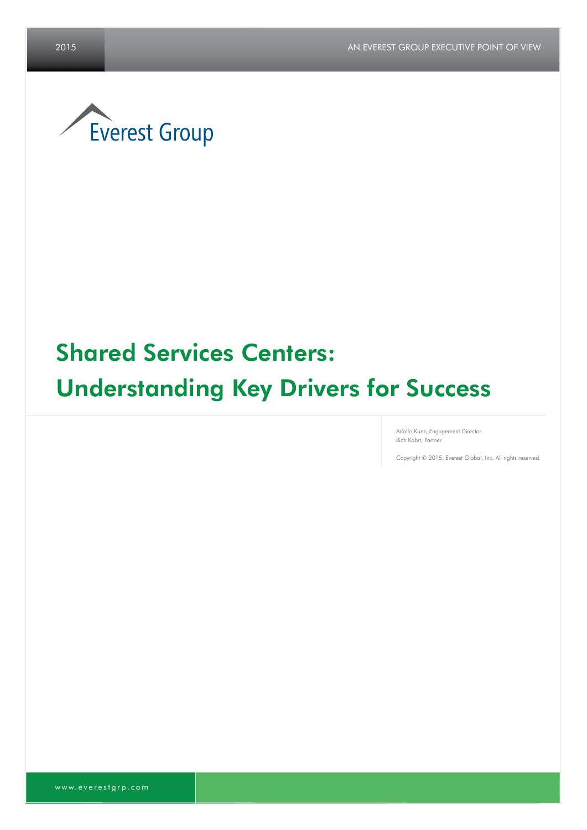

## Shared Services Centers:

# Understanding Key Drivers for Success

Adolfo Kunz, Engagement Director Rich Kabrt, Partner

Copyright © 2015, Everest Global, Inc. All rights reserved.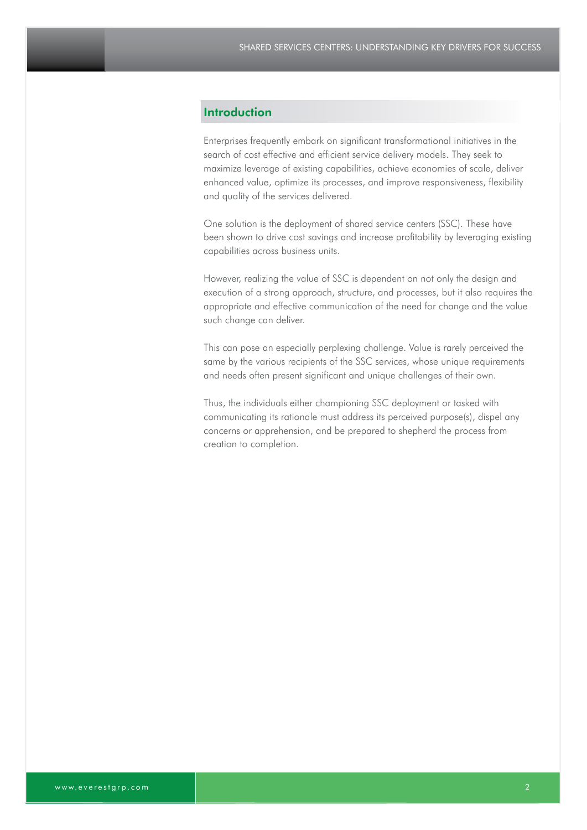### **Introduction**

Enterprises frequently embark on significant transformational initiatives in the search of cost effective and efficient service delivery models. They seek to maximize leverage of existing capabilities, achieve economies of scale, deliver enhanced value, optimize its processes, and improve responsiveness, flexibility and quality of the services delivered.

One solution is the deployment of shared service centers (SSC). These have been shown to drive cost savings and increase profitability by leveraging existing capabilities across business units.

However, realizing the value of SSC is dependent on not only the design and execution of a strong approach, structure, and processes, but it also requires the appropriate and effective communication of the need for change and the value such change can deliver.

This can pose an especially perplexing challenge. Value is rarely perceived the same by the various recipients of the SSC services, whose unique requirements and needs often present significant and unique challenges of their own.

Thus, the individuals either championing SSC deployment or tasked with communicating its rationale must address its perceived purpose(s), dispel any concerns or apprehension, and be prepared to shepherd the process from creation to completion.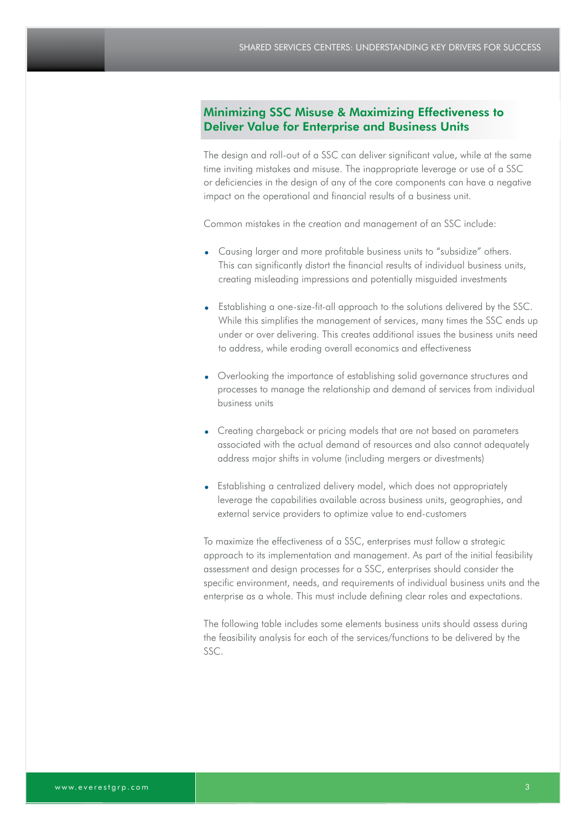### Minimizing SSC Misuse & Maximizing Effectiveness to Deliver Value for Enterprise and Business Units

The design and roll-out of a SSC can deliver significant value, while at the same time inviting mistakes and misuse. The inappropriate leverage or use of a SSC or deficiencies in the design of any of the core components can have a negative impact on the operational and financial results of a business unit.

Common mistakes in the creation and management of an SSC include:

- Causing larger and more profitable business units to "subsidize" others. This can significantly distort the financial results of individual business units, creating misleading impressions and potentially misguided investments
- Establishing a one-size-fit-all approach to the solutions delivered by the SSC. While this simplifies the management of services, many times the SSC ends up under or over delivering. This creates additional issues the business units need to address, while eroding overall economics and effectiveness
- Overlooking the importance of establishing solid governance structures and processes to manage the relationship and demand of services from individual business units
- Creating chargeback or pricing models that are not based on parameters associated with the actual demand of resources and also cannot adequately address major shifts in volume (including mergers or divestments)
- Establishing a centralized delivery model, which does not appropriately leverage the capabilities available across business units, geographies, and external service providers to optimize value to end-customers

To maximize the effectiveness of a SSC, enterprises must follow a strategic approach to its implementation and management. As part of the initial feasibility assessment and design processes for a SSC, enterprises should consider the specific environment, needs, and requirements of individual business units and the enterprise as a whole. This must include defining clear roles and expectations.

The following table includes some elements business units should assess during the feasibility analysis for each of the services/functions to be delivered by the SSC.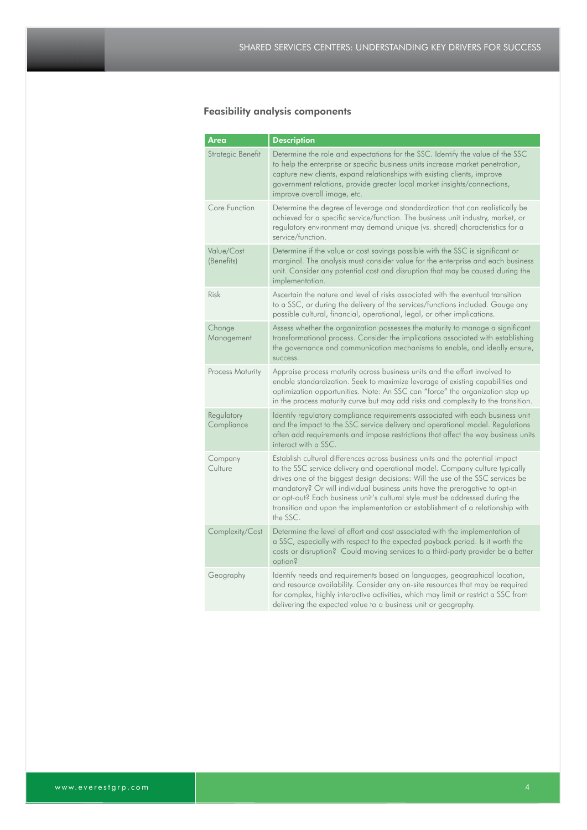## Feasibility analysis components

| Area                     | <b>Description</b>                                                                                                                                                                                                                                                                                                                                                                                                                                                                                            |  |
|--------------------------|---------------------------------------------------------------------------------------------------------------------------------------------------------------------------------------------------------------------------------------------------------------------------------------------------------------------------------------------------------------------------------------------------------------------------------------------------------------------------------------------------------------|--|
| Strategic Benefit        | Determine the role and expectations for the SSC. Identify the value of the SSC<br>to help the enterprise or specific business units increase market penetration,<br>capture new clients, expand relationships with existing clients, improve<br>government relations, provide greater local market insights/connections,<br>improve overall image, etc.                                                                                                                                                       |  |
| Core Function            | Determine the degree of leverage and standardization that can realistically be<br>achieved for a specific service/function. The business unit industry, market, or<br>regulatory environment may demand unique (vs. shared) characteristics for a<br>service/function.                                                                                                                                                                                                                                        |  |
| Value/Cost<br>(Benefits) | Determine if the value or cost savings possible with the SSC is significant or<br>marginal. The analysis must consider value for the enterprise and each business<br>unit. Consider any potential cost and disruption that may be caused during the<br>implementation.                                                                                                                                                                                                                                        |  |
| Risk                     | Ascertain the nature and level of risks associated with the eventual transition<br>to a SSC, or during the delivery of the services/functions included. Gauge any<br>possible cultural, financial, operational, legal, or other implications.                                                                                                                                                                                                                                                                 |  |
| Change<br>Management     | Assess whether the organization possesses the maturity to manage a significant<br>transformational process. Consider the implications associated with establishing<br>the governance and communication mechanisms to enable, and ideally ensure,<br>success.                                                                                                                                                                                                                                                  |  |
| Process Maturity         | Appraise process maturity across business units and the effort involved to<br>enable standardization. Seek to maximize leverage of existing capabilities and<br>optimization opportunities. Note: An SSC can "force" the organization step up<br>in the process maturity curve but may add risks and complexity to the transition.                                                                                                                                                                            |  |
| Regulatory<br>Compliance | Identify regulatory compliance requirements associated with each business unit<br>and the impact to the SSC service delivery and operational model. Regulations<br>often add requirements and impose restrictions that affect the way business units<br>interact with a SSC.                                                                                                                                                                                                                                  |  |
| Company<br>Culture       | Establish cultural differences across business units and the potential impact<br>to the SSC service delivery and operational model. Company culture typically<br>drives one of the biggest design decisions: Will the use of the SSC services be<br>mandatory? Or will individual business units have the prerogative to opt-in<br>or opt-out? Each business unit's cultural style must be addressed during the<br>transition and upon the implementation or establishment of a relationship with<br>the SSC. |  |
| Complexity/Cost          | Determine the level of effort and cost associated with the implementation of<br>a SSC, especially with respect to the expected payback period. Is it worth the<br>costs or disruption? Could moving services to a third-party provider be a better<br>option?                                                                                                                                                                                                                                                 |  |
| Geography                | Identify needs and requirements based on languages, geographical location,<br>and resource availability. Consider any on-site resources that may be required<br>for complex, highly interactive activities, which may limit or restrict a SSC from<br>delivering the expected value to a business unit or geography.                                                                                                                                                                                          |  |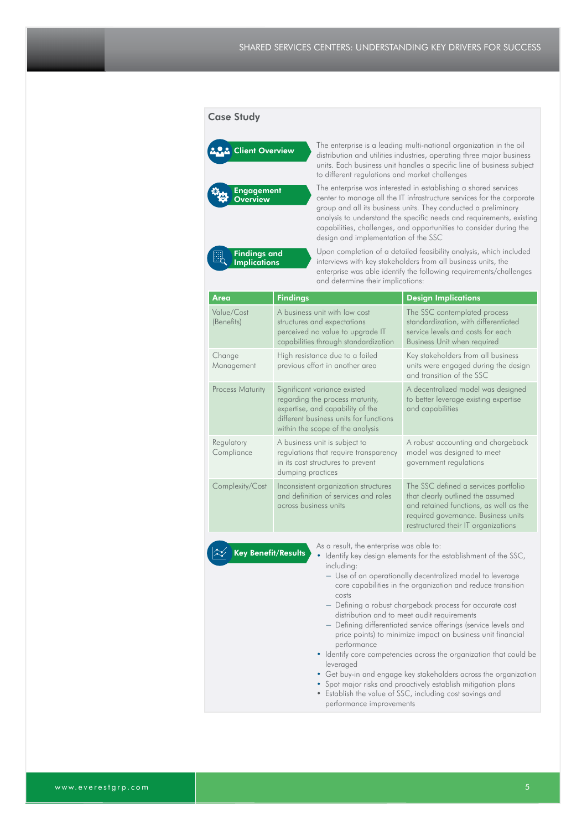#### Case Study



Findings and **Implications** 

Client Overview The enterprise is a leading multi-national organization in the oil distribution and utilities industries, operating three major business units. Each business unit handles a specific line of business subject to different regulations and market challenges

> The enterprise was interested in establishing a shared services center to manage all the IT infrastructure services for the corporate group and all its business units. They conducted a preliminary analysis to understand the specific needs and requirements, existing capabilities, challenges, and opportunities to consider during the design and implementation of the SSC

Upon completion of a detailed feasibility analysis, which included interviews with key stakeholders from all business units, the enterprise was able identify the following requirements/challenges and determine their implications:

| Area                                                                                                                                                                                                                                                                                             | <b>Findings</b>                                                                                                                                                                   | <b>Design Implications</b>                                                                                                                                                                        |  |
|--------------------------------------------------------------------------------------------------------------------------------------------------------------------------------------------------------------------------------------------------------------------------------------------------|-----------------------------------------------------------------------------------------------------------------------------------------------------------------------------------|---------------------------------------------------------------------------------------------------------------------------------------------------------------------------------------------------|--|
| Value/Cost<br>(Benefits)                                                                                                                                                                                                                                                                         | A business unit with low cost<br>structures and expectations<br>perceived no value to upgrade IT<br>capabilities through standardization                                          | The SSC contemplated process<br>standardization, with differentiated<br>service levels and costs for each<br>Business Unit when required                                                          |  |
| Change<br>Management                                                                                                                                                                                                                                                                             | High resistance due to a failed<br>previous effort in another area                                                                                                                | Key stakeholders from all business<br>units were engaged during the design<br>and transition of the SSC                                                                                           |  |
| <b>Process Maturity</b>                                                                                                                                                                                                                                                                          | Significant variance existed<br>regarding the process maturity,<br>expertise, and capability of the<br>different business units for functions<br>within the scope of the analysis | A decentralized model was designed<br>to better leverage existing expertise<br>and capabilities                                                                                                   |  |
| Regulatory<br>Compliance                                                                                                                                                                                                                                                                         | A business unit is subject to<br>regulations that require transparency<br>in its cost structures to prevent<br>dumping practices                                                  | A robust accounting and chargeback<br>model was designed to meet<br>government regulations                                                                                                        |  |
| Complexity/Cost                                                                                                                                                                                                                                                                                  | Inconsistent organization structures<br>and definition of services and roles<br>across business units                                                                             | The SSC defined a services portfolio<br>that clearly outlined the assumed<br>and retained functions, as well as the<br>required governance. Business units<br>restructured their IT organizations |  |
| As a result, the enterprise was able to:<br><b>Key Benefit/Results</b><br>Identify key design elements for the establishment of the SSC,<br>٠<br>including:<br>- Use of an operationally decentralized model to leverage<br>core capabilities in the organization and reduce transition<br>costs |                                                                                                                                                                                   |                                                                                                                                                                                                   |  |

- ― Defining a robust chargeback process for accurate cost distribution and to meet audit requirements
- ― Defining differentiated service offerings (service levels and price points) to minimize impact on business unit financial performance
- Identify core competencies across the organization that could be leveraged
- Get buy-in and engage key stakeholders across the organization
- Spot major risks and proactively establish mitigation plans
- Establish the value of SSC, including cost savings and performance improvements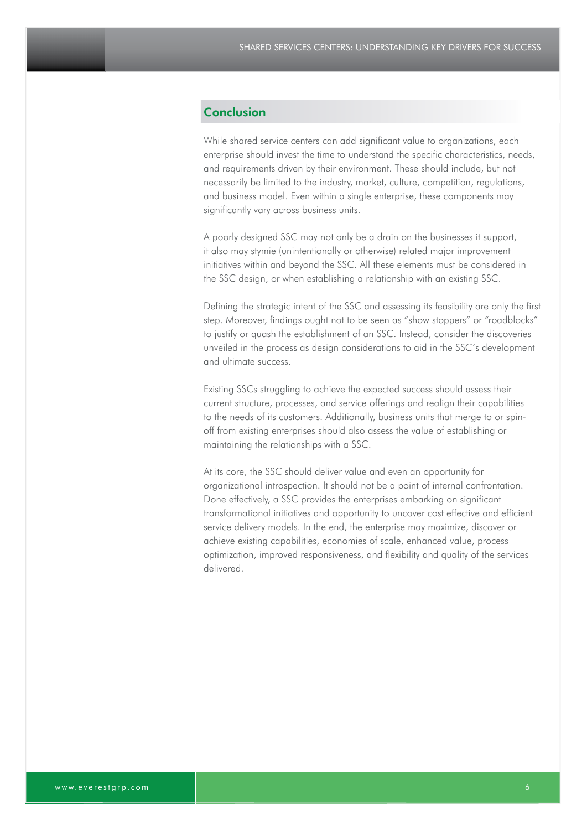#### Conclusion

While shared service centers can add significant value to organizations, each enterprise should invest the time to understand the specific characteristics, needs, and requirements driven by their environment. These should include, but not necessarily be limited to the industry, market, culture, competition, regulations, and business model. Even within a single enterprise, these components may significantly vary across business units.

A poorly designed SSC may not only be a drain on the businesses it support, it also may stymie (unintentionally or otherwise) related major improvement initiatives within and beyond the SSC. All these elements must be considered in the SSC design, or when establishing a relationship with an existing SSC.

Defining the strategic intent of the SSC and assessing its feasibility are only the first step. Moreover, findings ought not to be seen as "show stoppers" or "roadblocks" to justify or quash the establishment of an SSC. Instead, consider the discoveries unveiled in the process as design considerations to aid in the SSC's development and ultimate success.

Existing SSCs struggling to achieve the expected success should assess their current structure, processes, and service offerings and realign their capabilities to the needs of its customers. Additionally, business units that merge to or spinoff from existing enterprises should also assess the value of establishing or maintaining the relationships with a SSC.

At its core, the SSC should deliver value and even an opportunity for organizational introspection. It should not be a point of internal confrontation. Done effectively, a SSC provides the enterprises embarking on significant transformational initiatives and opportunity to uncover cost effective and efficient service delivery models. In the end, the enterprise may maximize, discover or achieve existing capabilities, economies of scale, enhanced value, process optimization, improved responsiveness, and flexibility and quality of the services delivered.